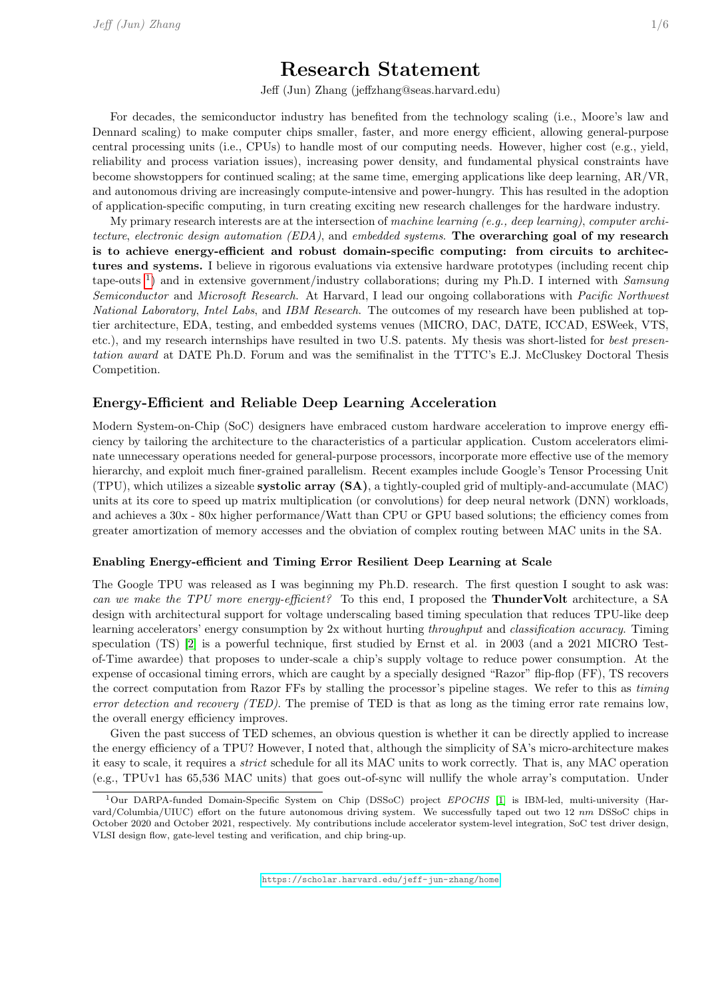# Research Statement

Jeff (Jun) Zhang (jeffzhang@seas.harvard.edu)

For decades, the semiconductor industry has benefited from the technology scaling (i.e., Moore's law and Dennard scaling) to make computer chips smaller, faster, and more energy efficient, allowing general-purpose central processing units (i.e., CPUs) to handle most of our computing needs. However, higher cost (e.g., yield, reliability and process variation issues), increasing power density, and fundamental physical constraints have become showstoppers for continued scaling; at the same time, emerging applications like deep learning, AR/VR, and autonomous driving are increasingly compute-intensive and power-hungry. This has resulted in the adoption of application-specific computing, in turn creating exciting new research challenges for the hardware industry.

My primary research interests are at the intersection of machine learning (e.g., deep learning), computer architecture, electronic design automation (EDA), and embedded systems. The overarching goal of my research is to achieve energy-efficient and robust domain-specific computing: from circuits to architectures and systems. I believe in rigorous evaluations via extensive hardware prototypes (including recent chip tape-outs <sup>[1](#page-0-0)</sup>) and in extensive government/industry collaborations; during my Ph.D. I interned with Samsung Semiconductor and Microsoft Research. At Harvard, I lead our ongoing collaborations with *Pacific Northwest* National Laboratory, Intel Labs, and IBM Research. The outcomes of my research have been published at toptier architecture, EDA, testing, and embedded systems venues (MICRO, DAC, DATE, ICCAD, ESWeek, VTS, etc.), and my research internships have resulted in two U.S. patents. My thesis was short-listed for best presentation award at DATE Ph.D. Forum and was the semifinalist in the TTTC's E.J. McCluskey Doctoral Thesis Competition.

#### Energy-Efficient and Reliable Deep Learning Acceleration

Modern System-on-Chip (SoC) designers have embraced custom hardware acceleration to improve energy efficiency by tailoring the architecture to the characteristics of a particular application. Custom accelerators eliminate unnecessary operations needed for general-purpose processors, incorporate more effective use of the memory hierarchy, and exploit much finer-grained parallelism. Recent examples include Google's Tensor Processing Unit (TPU), which utilizes a sizeable systolic array (SA), a tightly-coupled grid of multiply-and-accumulate (MAC) units at its core to speed up matrix multiplication (or convolutions) for deep neural network (DNN) workloads, and achieves a  $30x - 80x$  higher performance/Watt than CPU or GPU based solutions; the efficiency comes from greater amortization of memory accesses and the obviation of complex routing between MAC units in the SA.

#### Enabling Energy-efficient and Timing Error Resilient Deep Learning at Scale

The Google TPU was released as I was beginning my Ph.D. research. The first question I sought to ask was: can we make the TPU more energy-efficient? To this end, I proposed the **ThunderVolt** architecture, a SA design with architectural support for voltage underscaling based timing speculation that reduces TPU-like deep learning accelerators' energy consumption by 2x without hurting throughput and classification accuracy. Timing speculation (TS) [\[2\]](#page-5-0) is a powerful technique, first studied by Ernst et al. in 2003 (and a 2021 MICRO Testof-Time awardee) that proposes to under-scale a chip's supply voltage to reduce power consumption. At the expense of occasional timing errors, which are caught by a specially designed "Razor" flip-flop (FF), TS recovers the correct computation from Razor FFs by stalling the processor's pipeline stages. We refer to this as timing error detection and recovery (TED). The premise of TED is that as long as the timing error rate remains low, the overall energy efficiency improves.

Given the past success of TED schemes, an obvious question is whether it can be directly applied to increase the energy efficiency of a TPU? However, I noted that, although the simplicity of SA's micro-architecture makes it easy to scale, it requires a strict schedule for all its MAC units to work correctly. That is, any MAC operation (e.g., TPUv1 has 65,536 MAC units) that goes out-of-sync will nullify the whole array's computation. Under

<span id="page-0-0"></span><sup>&</sup>lt;sup>1</sup>Our DARPA-funded Domain-Specific System on Chip (DSSoC) project EPOCHS [\[1\]](#page-5-1) is IBM-led, multi-university (Harvard/Columbia/UIUC) effort on the future autonomous driving system. We successfully taped out two 12 nm DSSoC chips in October 2020 and October 2021, respectively. My contributions include accelerator system-level integration, SoC test driver design, VLSI design flow, gate-level testing and verification, and chip bring-up.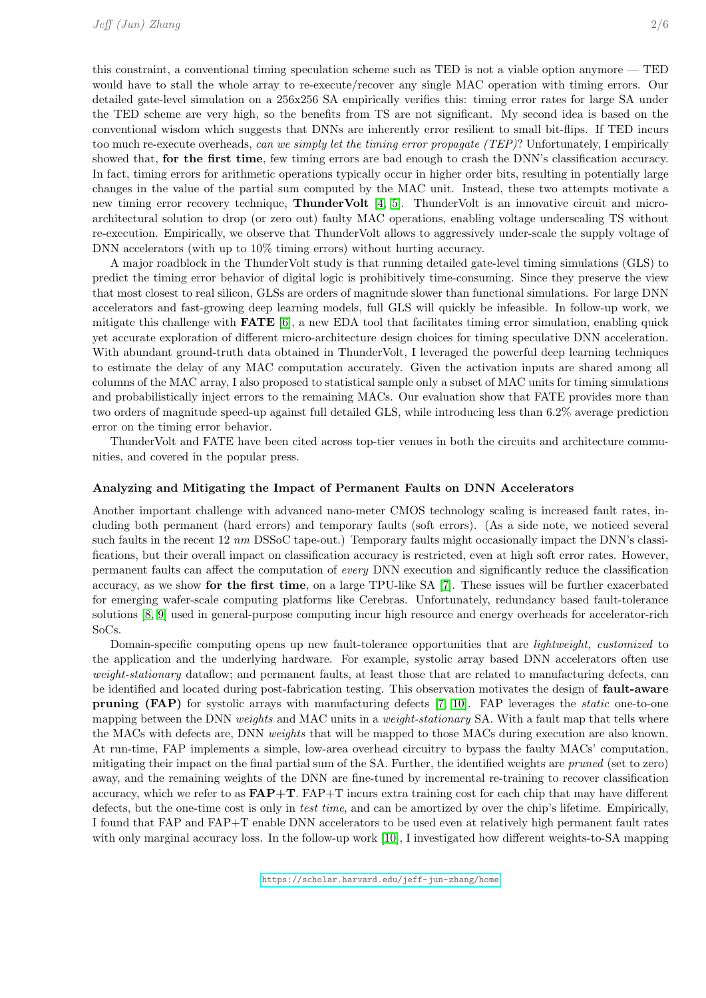this constraint, a conventional timing speculation scheme such as TED is not a viable option anymore — TED would have to stall the whole array to re-execute/recover any single MAC operation with timing errors. Our detailed gate-level simulation on a 256x256 SA empirically verifies this: timing error rates for large SA under the TED scheme are very high, so the benefits from TS are not significant. My second idea is based on the conventional wisdom which suggests that DNNs are inherently error resilient to small bit-flips. If TED incurs too much re-execute overheads, can we simply let the timing error propagate (TEP)? Unfortunately, I empirically showed that, for the first time, few timing errors are bad enough to crash the DNN's classification accuracy. In fact, timing errors for arithmetic operations typically occur in higher order bits, resulting in potentially large changes in the value of the partial sum computed by the MAC unit. Instead, these two attempts motivate a new timing error recovery technique, ThunderVolt [\[4,](#page-5-2) [5\]](#page-5-3). ThunderVolt is an innovative circuit and microarchitectural solution to drop (or zero out) faulty MAC operations, enabling voltage underscaling TS without re-execution. Empirically, we observe that ThunderVolt allows to aggressively under-scale the supply voltage of DNN accelerators (with up to 10% timing errors) without hurting accuracy.

A major roadblock in the ThunderVolt study is that running detailed gate-level timing simulations (GLS) to predict the timing error behavior of digital logic is prohibitively time-consuming. Since they preserve the view that most closest to real silicon, GLSs are orders of magnitude slower than functional simulations. For large DNN accelerators and fast-growing deep learning models, full GLS will quickly be infeasible. In follow-up work, we mitigate this challenge with FATE [\[6\]](#page-5-4), a new EDA tool that facilitates timing error simulation, enabling quick yet accurate exploration of different micro-architecture design choices for timing speculative DNN acceleration. With abundant ground-truth data obtained in ThunderVolt, I leveraged the powerful deep learning techniques to estimate the delay of any MAC computation accurately. Given the activation inputs are shared among all columns of the MAC array, I also proposed to statistical sample only a subset of MAC units for timing simulations and probabilistically inject errors to the remaining MACs. Our evaluation show that FATE provides more than two orders of magnitude speed-up against full detailed GLS, while introducing less than 6.2% average prediction error on the timing error behavior.

ThunderVolt and FATE have been cited across top-tier venues in both the circuits and architecture communities, and covered in the popular press.

#### Analyzing and Mitigating the Impact of Permanent Faults on DNN Accelerators

Another important challenge with advanced nano-meter CMOS technology scaling is increased fault rates, including both permanent (hard errors) and temporary faults (soft errors). (As a side note, we noticed several such faults in the recent 12 nm DSSoC tape-out.) Temporary faults might occasionally impact the DNN's classifications, but their overall impact on classification accuracy is restricted, even at high soft error rates. However, permanent faults can affect the computation of every DNN execution and significantly reduce the classification accuracy, as we show for the first time, on a large TPU-like SA [\[7\]](#page-5-5). These issues will be further exacerbated for emerging wafer-scale computing platforms like Cerebras. Unfortunately, redundancy based fault-tolerance solutions [\[8,](#page-5-6) [9\]](#page-5-7) used in general-purpose computing incur high resource and energy overheads for accelerator-rich SoCs.

Domain-specific computing opens up new fault-tolerance opportunities that are lightweight, customized to the application and the underlying hardware. For example, systolic array based DNN accelerators often use weight-stationary dataflow; and permanent faults, at least those that are related to manufacturing defects, can be identified and located during post-fabrication testing. This observation motivates the design of fault-aware pruning (FAP) for systolic arrays with manufacturing defects [\[7,](#page-5-5) [10\]](#page-5-8). FAP leverages the static one-to-one mapping between the DNN weights and MAC units in a weight-stationary SA. With a fault map that tells where the MACs with defects are, DNN weights that will be mapped to those MACs during execution are also known. At run-time, FAP implements a simple, low-area overhead circuitry to bypass the faulty MACs' computation, mitigating their impact on the final partial sum of the SA. Further, the identified weights are pruned (set to zero) away, and the remaining weights of the DNN are fine-tuned by incremental re-training to recover classification accuracy, which we refer to as  $FAP+T$ .  $FAP+T$  incurs extra training cost for each chip that may have different defects, but the one-time cost is only in test time, and can be amortized by over the chip's lifetime. Empirically, I found that FAP and FAP+T enable DNN accelerators to be used even at relatively high permanent fault rates with only marginal accuracy loss. In the follow-up work [\[10\]](#page-5-8), I investigated how different weights-to-SA mapping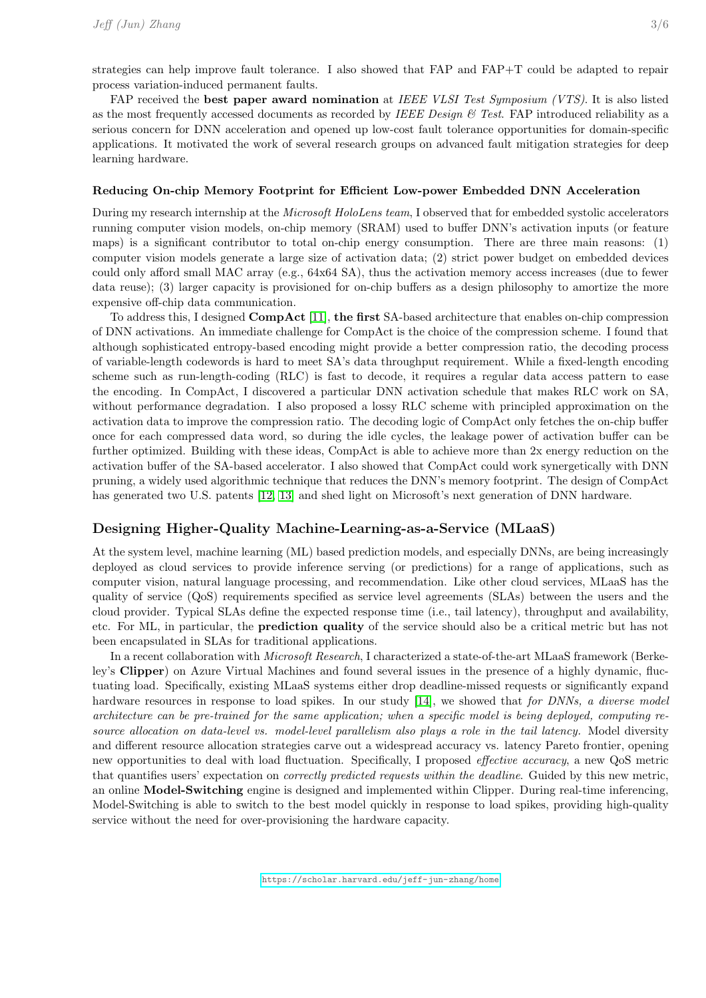strategies can help improve fault tolerance. I also showed that FAP and FAP+T could be adapted to repair process variation-induced permanent faults.

FAP received the **best paper award nomination** at IEEE VLSI Test Symposium (VTS). It is also listed as the most frequently accessed documents as recorded by IEEE Design  $\&$  Test. FAP introduced reliability as a serious concern for DNN acceleration and opened up low-cost fault tolerance opportunities for domain-specific applications. It motivated the work of several research groups on advanced fault mitigation strategies for deep learning hardware.

#### Reducing On-chip Memory Footprint for Efficient Low-power Embedded DNN Acceleration

During my research internship at the Microsoft HoloLens team, I observed that for embedded systolic accelerators running computer vision models, on-chip memory (SRAM) used to buffer DNN's activation inputs (or feature maps) is a significant contributor to total on-chip energy consumption. There are three main reasons: (1) computer vision models generate a large size of activation data; (2) strict power budget on embedded devices could only afford small MAC array (e.g., 64x64 SA), thus the activation memory access increases (due to fewer data reuse); (3) larger capacity is provisioned for on-chip buffers as a design philosophy to amortize the more expensive off-chip data communication.

To address this, I designed  $\bf{CompAct}$  [\[11\]](#page-5-9), the first SA-based architecture that enables on-chip compression of DNN activations. An immediate challenge for CompAct is the choice of the compression scheme. I found that although sophisticated entropy-based encoding might provide a better compression ratio, the decoding process of variable-length codewords is hard to meet SA's data throughput requirement. While a fixed-length encoding scheme such as run-length-coding (RLC) is fast to decode, it requires a regular data access pattern to ease the encoding. In CompAct, I discovered a particular DNN activation schedule that makes RLC work on SA, without performance degradation. I also proposed a lossy RLC scheme with principled approximation on the activation data to improve the compression ratio. The decoding logic of CompAct only fetches the on-chip buffer once for each compressed data word, so during the idle cycles, the leakage power of activation buffer can be further optimized. Building with these ideas, CompAct is able to achieve more than 2x energy reduction on the activation buffer of the SA-based accelerator. I also showed that CompAct could work synergetically with DNN pruning, a widely used algorithmic technique that reduces the DNN's memory footprint. The design of CompAct has generated two U.S. patents [\[12,](#page-5-10) [13\]](#page-5-11) and shed light on Microsoft's next generation of DNN hardware.

### Designing Higher-Quality Machine-Learning-as-a-Service (MLaaS)

At the system level, machine learning (ML) based prediction models, and especially DNNs, are being increasingly deployed as cloud services to provide inference serving (or predictions) for a range of applications, such as computer vision, natural language processing, and recommendation. Like other cloud services, MLaaS has the quality of service (QoS) requirements specified as service level agreements (SLAs) between the users and the cloud provider. Typical SLAs define the expected response time (i.e., tail latency), throughput and availability, etc. For ML, in particular, the prediction quality of the service should also be a critical metric but has not been encapsulated in SLAs for traditional applications.

In a recent collaboration with Microsoft Research, I characterized a state-of-the-art MLaaS framework (Berkeley's Clipper) on Azure Virtual Machines and found several issues in the presence of a highly dynamic, fluctuating load. Specifically, existing MLaaS systems either drop deadline-missed requests or significantly expand hardware resources in response to load spikes. In our study [\[14\]](#page-5-12), we showed that for DNNs, a diverse model architecture can be pre-trained for the same application; when a specific model is being deployed, computing resource allocation on data-level vs. model-level parallelism also plays a role in the tail latency. Model diversity and different resource allocation strategies carve out a widespread accuracy vs. latency Pareto frontier, opening new opportunities to deal with load fluctuation. Specifically, I proposed effective accuracy, a new QoS metric that quantifies users' expectation on correctly predicted requests within the deadline. Guided by this new metric, an online Model-Switching engine is designed and implemented within Clipper. During real-time inferencing, Model-Switching is able to switch to the best model quickly in response to load spikes, providing high-quality service without the need for over-provisioning the hardware capacity.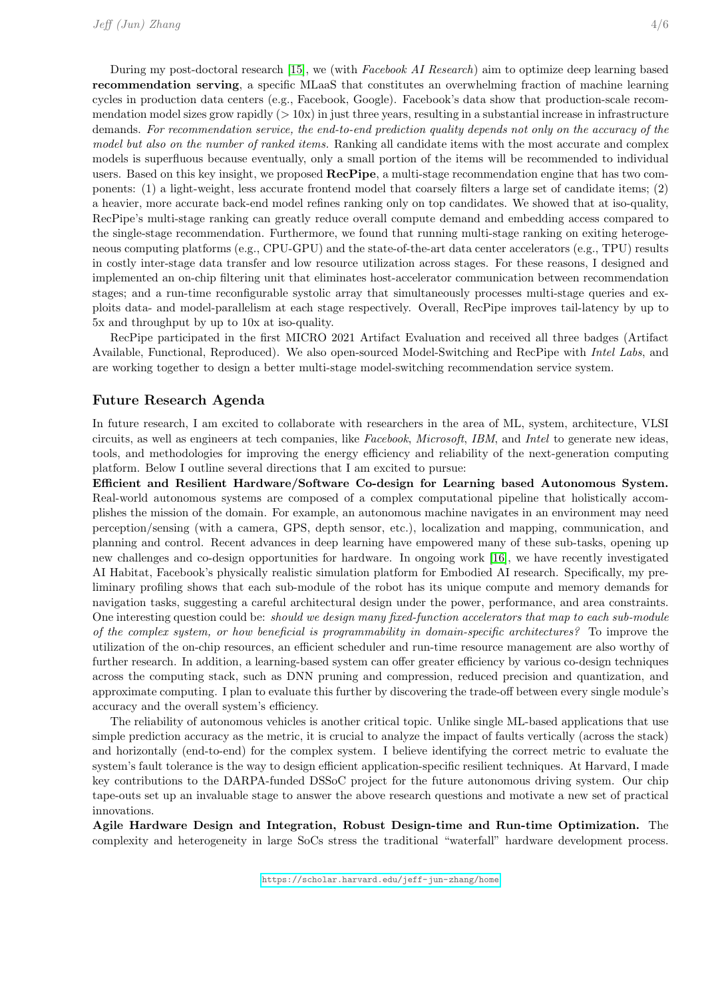During my post-doctoral research [\[15\]](#page-5-13), we (with Facebook AI Research) aim to optimize deep learning based recommendation serving, a specific MLaaS that constitutes an overwhelming fraction of machine learning cycles in production data centers (e.g., Facebook, Google). Facebook's data show that production-scale recommendation model sizes grow rapidly  $(> 10x)$  in just three years, resulting in a substantial increase in infrastructure demands. For recommendation service, the end-to-end prediction quality depends not only on the accuracy of the model but also on the number of ranked items. Ranking all candidate items with the most accurate and complex models is superfluous because eventually, only a small portion of the items will be recommended to individual users. Based on this key insight, we proposed RecPipe, a multi-stage recommendation engine that has two components: (1) a light-weight, less accurate frontend model that coarsely filters a large set of candidate items; (2) a heavier, more accurate back-end model refines ranking only on top candidates. We showed that at iso-quality, RecPipe's multi-stage ranking can greatly reduce overall compute demand and embedding access compared to the single-stage recommendation. Furthermore, we found that running multi-stage ranking on exiting heterogeneous computing platforms (e.g., CPU-GPU) and the state-of-the-art data center accelerators (e.g., TPU) results in costly inter-stage data transfer and low resource utilization across stages. For these reasons, I designed and implemented an on-chip filtering unit that eliminates host-accelerator communication between recommendation stages; and a run-time reconfigurable systolic array that simultaneously processes multi-stage queries and exploits data- and model-parallelism at each stage respectively. Overall, RecPipe improves tail-latency by up to 5x and throughput by up to 10x at iso-quality.

RecPipe participated in the first MICRO 2021 Artifact Evaluation and received all three badges (Artifact Available, Functional, Reproduced). We also open-sourced Model-Switching and RecPipe with Intel Labs, and are working together to design a better multi-stage model-switching recommendation service system.

#### Future Research Agenda

In future research, I am excited to collaborate with researchers in the area of ML, system, architecture, VLSI circuits, as well as engineers at tech companies, like Facebook, Microsoft, IBM, and Intel to generate new ideas, tools, and methodologies for improving the energy efficiency and reliability of the next-generation computing platform. Below I outline several directions that I am excited to pursue:

Efficient and Resilient Hardware/Software Co-design for Learning based Autonomous System. Real-world autonomous systems are composed of a complex computational pipeline that holistically accomplishes the mission of the domain. For example, an autonomous machine navigates in an environment may need perception/sensing (with a camera, GPS, depth sensor, etc.), localization and mapping, communication, and planning and control. Recent advances in deep learning have empowered many of these sub-tasks, opening up new challenges and co-design opportunities for hardware. In ongoing work [\[16\]](#page-5-14), we have recently investigated AI Habitat, Facebook's physically realistic simulation platform for Embodied AI research. Specifically, my preliminary profiling shows that each sub-module of the robot has its unique compute and memory demands for navigation tasks, suggesting a careful architectural design under the power, performance, and area constraints. One interesting question could be: should we design many fixed-function accelerators that map to each sub-module of the complex system, or how beneficial is programmability in domain-specific architectures? To improve the utilization of the on-chip resources, an efficient scheduler and run-time resource management are also worthy of further research. In addition, a learning-based system can offer greater efficiency by various co-design techniques across the computing stack, such as DNN pruning and compression, reduced precision and quantization, and approximate computing. I plan to evaluate this further by discovering the trade-off between every single module's accuracy and the overall system's efficiency.

The reliability of autonomous vehicles is another critical topic. Unlike single ML-based applications that use simple prediction accuracy as the metric, it is crucial to analyze the impact of faults vertically (across the stack) and horizontally (end-to-end) for the complex system. I believe identifying the correct metric to evaluate the system's fault tolerance is the way to design efficient application-specific resilient techniques. At Harvard, I made key contributions to the DARPA-funded DSSoC project for the future autonomous driving system. Our chip tape-outs set up an invaluable stage to answer the above research questions and motivate a new set of practical innovations.

Agile Hardware Design and Integration, Robust Design-time and Run-time Optimization. The complexity and heterogeneity in large SoCs stress the traditional "waterfall" hardware development process.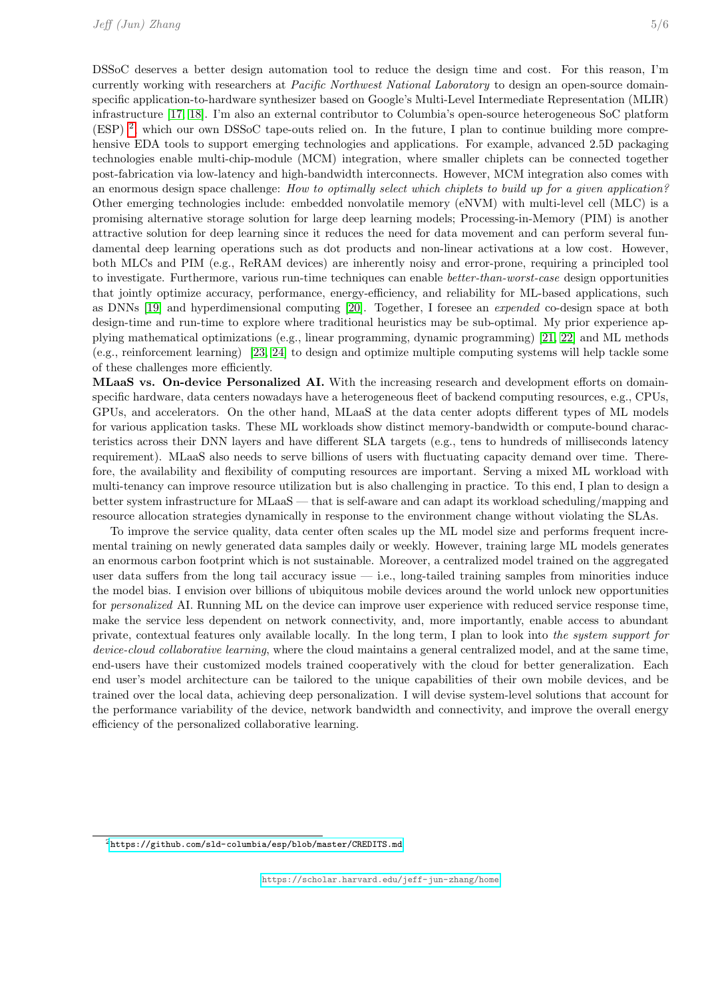DSSoC deserves a better design automation tool to reduce the design time and cost. For this reason, I'm currently working with researchers at Pacific Northwest National Laboratory to design an open-source domainspecific application-to-hardware synthesizer based on Google's Multi-Level Intermediate Representation (MLIR) infrastructure [\[17,](#page-5-15) [18\]](#page-5-16). I'm also an external contributor to Columbia's open-source heterogeneous SoC platform (ESP) [2](#page-4-0) , which our own DSSoC tape-outs relied on. In the future, I plan to continue building more comprehensive EDA tools to support emerging technologies and applications. For example, advanced 2.5D packaging technologies enable multi-chip-module (MCM) integration, where smaller chiplets can be connected together post-fabrication via low-latency and high-bandwidth interconnects. However, MCM integration also comes with an enormous design space challenge: How to optimally select which chiplets to build up for a given application? Other emerging technologies include: embedded nonvolatile memory (eNVM) with multi-level cell (MLC) is a promising alternative storage solution for large deep learning models; Processing-in-Memory (PIM) is another attractive solution for deep learning since it reduces the need for data movement and can perform several fundamental deep learning operations such as dot products and non-linear activations at a low cost. However, both MLCs and PIM (e.g., ReRAM devices) are inherently noisy and error-prone, requiring a principled tool to investigate. Furthermore, various run-time techniques can enable better-than-worst-case design opportunities that jointly optimize accuracy, performance, energy-efficiency, and reliability for ML-based applications, such as DNNs [\[19\]](#page-5-17) and hyperdimensional computing [\[20\]](#page-5-18). Together, I foresee an expended co-design space at both design-time and run-time to explore where traditional heuristics may be sub-optimal. My prior experience applying mathematical optimizations (e.g., linear programming, dynamic programming) [\[21,](#page-5-19) [22\]](#page-5-20) and ML methods (e.g., reinforcement learning) [\[23,](#page-5-21) [24\]](#page-5-22) to design and optimize multiple computing systems will help tackle some of these challenges more efficiently.

MLaaS vs. On-device Personalized AI. With the increasing research and development efforts on domainspecific hardware, data centers nowadays have a heterogeneous fleet of backend computing resources, e.g., CPUs, GPUs, and accelerators. On the other hand, MLaaS at the data center adopts different types of ML models for various application tasks. These ML workloads show distinct memory-bandwidth or compute-bound characteristics across their DNN layers and have different SLA targets (e.g., tens to hundreds of milliseconds latency requirement). MLaaS also needs to serve billions of users with fluctuating capacity demand over time. Therefore, the availability and flexibility of computing resources are important. Serving a mixed ML workload with multi-tenancy can improve resource utilization but is also challenging in practice. To this end, I plan to design a better system infrastructure for MLaaS — that is self-aware and can adapt its workload scheduling/mapping and resource allocation strategies dynamically in response to the environment change without violating the SLAs.

To improve the service quality, data center often scales up the ML model size and performs frequent incremental training on newly generated data samples daily or weekly. However, training large ML models generates an enormous carbon footprint which is not sustainable. Moreover, a centralized model trained on the aggregated user data suffers from the long tail accuracy issue  $-$  i.e., long-tailed training samples from minorities induce the model bias. I envision over billions of ubiquitous mobile devices around the world unlock new opportunities for personalized AI. Running ML on the device can improve user experience with reduced service response time, make the service less dependent on network connectivity, and, more importantly, enable access to abundant private, contextual features only available locally. In the long term, I plan to look into the system support for device-cloud collaborative learning, where the cloud maintains a general centralized model, and at the same time, end-users have their customized models trained cooperatively with the cloud for better generalization. Each end user's model architecture can be tailored to the unique capabilities of their own mobile devices, and be trained over the local data, achieving deep personalization. I will devise system-level solutions that account for the performance variability of the device, network bandwidth and connectivity, and improve the overall energy efficiency of the personalized collaborative learning.

<span id="page-4-0"></span><sup>2</sup><https://github.com/sld-columbia/esp/blob/master/CREDITS.md>